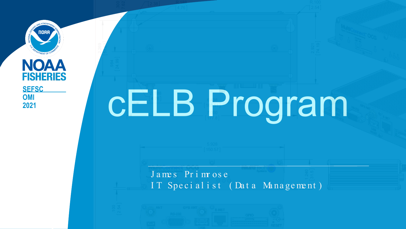**NOAA FISHERIES OMI 2021**

# **CELB Program**

J a me s Pr i mr os e IT Specialist (Data Management)

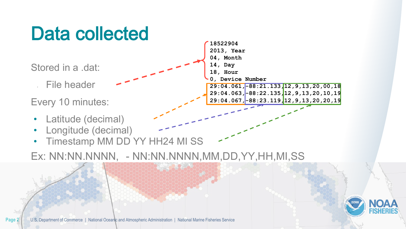## Data collected

Stored in a .dat:

• File header

Every 10 minutes:

- Latitude (decimal)
- Longitude (decimal)
- Timestamp MM DD YY HH24 MI SS

Ex: NN:NN.NNNN, - NN:NN.NNNN,MM,DD,YY,HH,MI,SS

**2013, Year 04, Month 14, Day 18, Hour 0, Device Number 29:04.061,-88:21.133,12,9,13,20,00,18 29:04.063,-88:22.135,12,9,13,20,10,19**

**29:04.067,-88:23.119,12,9,13,20,20,19**

**18522904**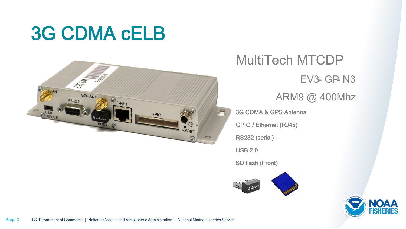### 3G CDMA cELB



MultiTech MTCDP **EV3- GP- N3** ARM9 @ 400Mhz 3G CDMA & GPS Antenna GPIO / Ethernet (RJ45)

RS232 (serial)

USB 2.0

SD flash (Front)



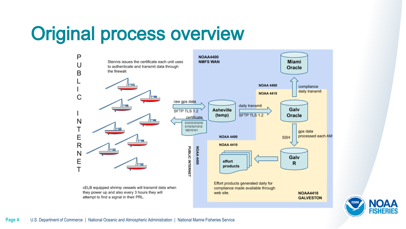### Original process overview



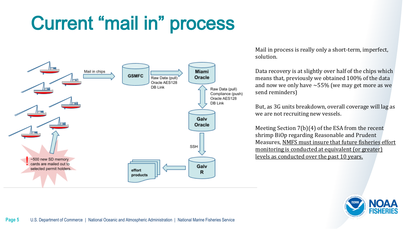# Current "mail in" process



Mail in process is really only a short-term, imperfect, solution.

Data recovery is at slightly over half of the chips which means that, previously we obtained 100% of the data and now we only have  $\sim$  55% (we may get more as we send reminders)

But, as 3G units breakdown, overall coverage will lag as we are not recruiting new vessels.

Meeting Section 7(b)(4) of the ESA from the recent shrimp BiOp regarding Reasonable and Prudent Measures, NMFS must insure that future fisheries effort monitoring is conducted at equivalent (or greater) levels as conducted over the past 10 years.

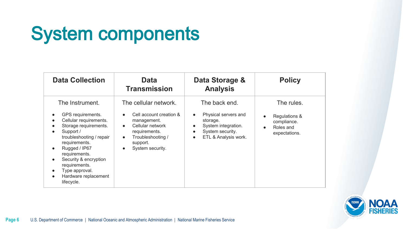# System components

| <b>Data Collection</b>                                                                                                                                                                                                                                                                                                       | <b>Data</b><br><b>Transmission</b>                                                                                                                                                               | Data Storage &<br><b>Analysis</b>                                                                                                                                        | <b>Policy</b>                                                            |
|------------------------------------------------------------------------------------------------------------------------------------------------------------------------------------------------------------------------------------------------------------------------------------------------------------------------------|--------------------------------------------------------------------------------------------------------------------------------------------------------------------------------------------------|--------------------------------------------------------------------------------------------------------------------------------------------------------------------------|--------------------------------------------------------------------------|
| The Instrument.<br>GPS requirements.<br>Cellular requirements.<br>Storage requirements.<br>Support /<br>troubleshooting / repair<br>requirements.<br>Rugged / IP67<br>$\bullet$<br>requirements.<br>Security & encryption<br>$\bullet$<br>requirements.<br>Type approval.<br>Hardware replacement<br>$\bullet$<br>lifecycle. | The cellular network.<br>Cell account creation &<br>management.<br>Cellular network<br>$\bullet$<br>requirements.<br>Troubleshooting /<br>$\bullet$<br>support.<br>System security.<br>$\bullet$ | The back end.<br>Physical servers and<br>$\bullet$<br>storage.<br>System integration.<br>$\bullet$<br>System security.<br>$\bullet$<br>ETL & Analysis work.<br>$\bullet$ | The rules.<br>Regulations &<br>compliance.<br>Roles and<br>expectations. |